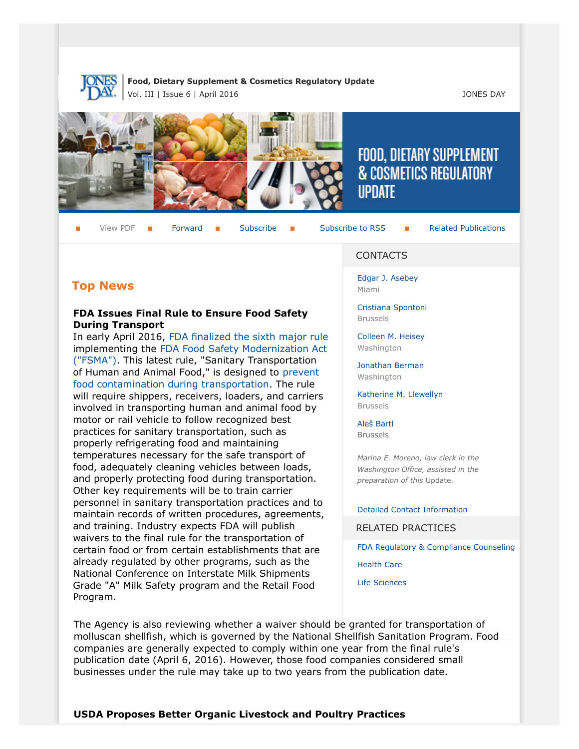

**Food, Dietary Supplement & Cosmetics Regulatory Update** Vol. III | Issue 6 | April 2016 JONES DAY



# FOOD, DIETARY SUPPLEMENT & COSMETICS REGULATORY **UPDATE**

View PDF  $\blacksquare$  [Forward](http://thewritestuff.jonesday.com/cff/d8b39bc67372da82d20550c2ab1c02bf0fefea29/)  $\blacksquare$  [Subscribe](http://www.jonesday.com/newsknowledge/publications.aspx)  $\blacksquare$  [Subscribe to RSS](http://www.jonesday.com/newsknowledge/rss.aspx)  $\blacksquare$  [Related Publications](http://www.jonesday.com/experiencepractices/servicedetail.aspx?serviceid=593cb647-a5c4-49c3-9086-fedc34b24e1d§ion=Publications)

# **Top News**

#### **FDA Issues Final Rule to Ensure Food Safety During Transport**

In early April 2016, FDA finalized the sixth major rule implementing the F[DA Food Safety Modernization Act](https://www.gpo.gov/fdsys/pkg/FR-2016-04-06/pdf/2016-07330.pdf) ("FSMA"). This lat[est rule, "Sanitary Transportation](http://www.fda.gov/Food/GuidanceRegulation/FSMA/default.htm) [of Human](http://www.fda.gov/Food/GuidanceRegulation/FSMA/default.htm) and Animal Food," is designed to prevent food contamination during transportation. T[he rule](http://www.fda.gov/Food/GuidanceRegulation/FSMA/ucm383763.htm) [will require shippers, receivers, loaders, a](http://www.fda.gov/Food/GuidanceRegulation/FSMA/ucm383763.htm)nd carriers involved in transporting human and animal food by motor or rail vehicle to follow recognized best practices for sanitary transportation, such as properly refrigerating food and maintaining temperatures necessary for the safe transport of food, adequately cleaning vehicles between loads, and properly protecting food during transportation. Other key requirements will be to train carrier personnel in sanitary transportation practices and to maintain records of written procedures, agreements, and training. Industry expects FDA will publish waivers to the final rule for the transportation of certain food or from certain establishments that are already regulated by other programs, such as the National Conference on Interstate Milk Shipments Grade "A" Milk Safety program and the Retail Food Program.

#### CONTACTS

[Edgar J. Asebey](http://www.jonesday.com/easebey) Miami

[Cristiana Spontoni](http://www.jonesday.com/cspontoni) Brussels

[Colleen M. Heisey](http://www.jonesday.com/cmheisey) **Washington** 

[Jonathan Berman](http://www.jonesday.com/jberman) Washington

[Katherine M. Llewellyn](http://www.jonesday.com/kllewellyn) Brussels

[Aleš Bartl](http://www.jonesday.com/abartl/) **Brussels** 

*Marina E. Moreno, law clerk in the Washington Office, assisted in the preparation of this* Update.

[Detailed Contact Information](#page-5-0)

RELATED PRACTICES

[FDA Regulatory & Compliance Counseling](http://www.jonesday.com/fdaregulatoryandcompliancecounseling/)

[Health Care](http://www.jonesday.com/Health-Care-Practices)

[Life Sciences](http://www.jonesday.com/lifesciences/)

The Agency is also reviewing whether a waiver should be granted for transportation of molluscan shellfish, which is governed by the National Shellfish Sanitation Program. Food companies are generally expected to comply within one year from the final rule's publication date (April 6, 2016). However, those food companies considered small businesses under the rule may take up to two years from the publication date.

**USDA Proposes Better Organic Livestock and Poultry Practices**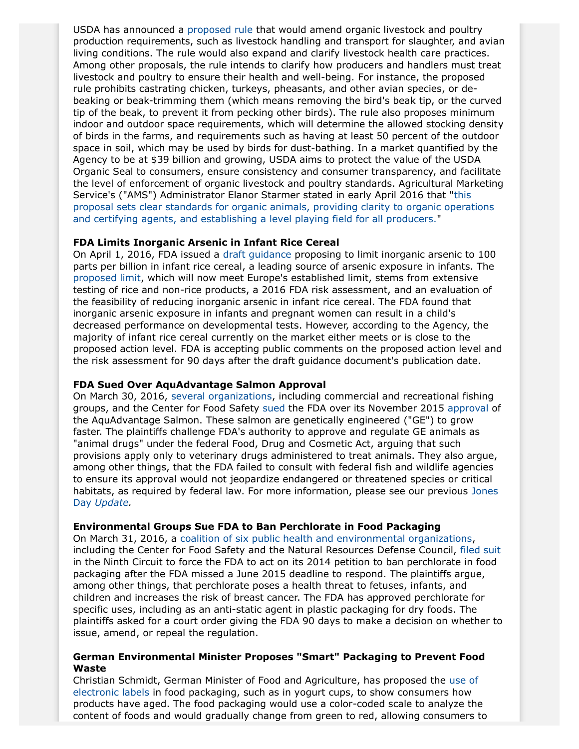USDA has announced a [proposed rule](https://www.ams.usda.gov/sites/default/files/media/NOP%20OLPP%20PR.pdf) that would amend organic livestock and poultry production requirements, such as livestock handling and transport for slaughter, and avian living conditions. The rule would also expand and clarify livestock health care practices. Among other proposals, the rule intends to clarify how producers and handlers must treat livestock and poultry to ensure their health and well-being. For instance, the proposed rule prohibits castrating chicken, turkeys, pheasants, and other avian species, or debeaking or beak-trimming them (which means removing the bird's beak tip, or the curved tip of the beak, to prevent it from pecking other birds). The rule also proposes minimum indoor and outdoor space requirements, which will determine the allowed stocking density of birds in the farms, and requirements such as having at least 50 percent of the outdoor space in soil, which may be used by birds for dust-bathing. In a market quantified by the Agency to be at \$39 billion and growing, USDA aims to protect the value of the USDA Organic Seal to consumers, ensure consistency and consumer transparency, and facilitate the level of enforcement of organic livestock and poultry standards. Agricultural Marketing Service's ("AMS") Administrator Elanor Starmer stated in early April 2016 that "[this](https://www.ams.usda.gov/press-release/usda-issues-proposed-rule-amend-organic-livestock-and-poultry-practices-including) [proposal sets clear standards for organic animals, providing clarity to organic operations](https://www.ams.usda.gov/press-release/usda-issues-proposed-rule-amend-organic-livestock-and-poultry-practices-including) [and certifying agents, and establishing a level playing field for all producers.](https://www.ams.usda.gov/press-release/usda-issues-proposed-rule-amend-organic-livestock-and-poultry-practices-including)"

#### **FDA Limits Inorganic Arsenic in Infant Rice Cereal**

On April 1, 2016, FDA issued a [draft guidance](http://www.fda.gov/downloads/Food/GuidanceRegulation/GuidanceDocumentsRegulatoryInformation/UCM493152.pdf) proposing to limit inorganic arsenic to 100 parts per billion in infant rice cereal, a leading source of arsenic exposure in infants. The [proposed limit,](http://www.fda.gov/NewsEvents/Newsroom/PressAnnouncements/ucm493740.htm) which will now meet Europe's established limit, stems from extensive testing of rice and non-rice products, a 2016 FDA risk assessment, and an evaluation of the feasibility of reducing inorganic arsenic in infant rice cereal. The FDA found that inorganic arsenic exposure in infants and pregnant women can result in a child's decreased performance on developmental tests. However, according to the Agency, the majority of infant rice cereal currently on the market either meets or is close to the proposed action level. FDA is accepting public comments on the proposed action level and the risk assessment for 90 days after the draft guidance document's publication date.

#### **FDA Sued Over AquAdvantage Salmon Approval**

On March 30, 2016, [several organizations,](http://thehill.com/regulation/court-battles/274779-groups-sue-fda-over-genetically-engineered-salmon) including commercial and recreational fishing groups, and the Center for Food Safety [sued](http://www.centerforfoodsafety.org/files/2016-3-30-dkt-1--pls--complaint_94703.pdf) the FDA over its November 2015 [approval](http://www.fda.gov/AnimalVeterinary/DevelopmentApprovalProcess/GeneticEngineering/GeneticallyEngineeredAnimals/ucm466214.htm) of the AquAdvantage Salmon. These salmon are genetically engineered ("GE") to grow faster. The plaintiffs challenge FDA's authority to approve and regulate GE animals as "animal drugs" under the federal Food, Drug and Cosmetic Act, arguing that such provisions apply only to veterinary drugs administered to treat animals. They also argue, among other things, that the FDA failed to consult with federal fish and wildlife agencies to ensure its approval would not jeopardize endangered or threatened species or critical habitats, as required by federal law. For more information, please see our previous [Jones](http://onefirm.jonesday.net/News/Lists/Attachments/Food%20Dietary%20Supplement%20-%20Cosmetics%20Update%20Vol%20II%20Issue%2021.pdf) Day *[Update](http://onefirm.jonesday.net/News/Lists/Attachments/Food%20Dietary%20Supplement%20-%20Cosmetics%20Update%20Vol%20II%20Issue%2021.pdf).*

#### **Environmental Groups Sue FDA to Ban Perchlorate in Food Packaging**

On March 31, 2016, a [coalition of six public health and environmental organizations](https://www.nrdc.org/media/2016/160331), including the Center for Food Safety and the Natural Resources Defense Council, [filed suit](http://www.centerforfoodsafety.org/files/2016-03-31-mandamus-petition-and-addendum-final_39049.pdf) in the Ninth Circuit to force the FDA to act on its 2014 petition to ban perchlorate in food packaging after the FDA missed a June 2015 deadline to respond. The plaintiffs argue, among other things, that perchlorate poses a health threat to fetuses, infants, and children and increases the risk of breast cancer. The FDA has approved perchlorate for specific uses, including as an anti-static agent in plastic packaging for dry foods. The plaintiffs asked for a court order giving the FDA 90 days to make a decision on whether to issue, amend, or repeal the regulation.

#### **German Environmental Minister Proposes "Smart" Packaging to Prevent Food Waste**

Christian Schmidt, German Minister of Food and Agriculture, has proposed the [use of](http://www.euractiv.com/section/agriculture-food/news/germany-plans-smart-packaging-to-cut-food-waste/http:/www.euractiv.com/section/agriculture-food/news/germany-plans-smart-packaging-to-cut-food-waste/) [electronic labels](http://www.euractiv.com/section/agriculture-food/news/germany-plans-smart-packaging-to-cut-food-waste/http:/www.euractiv.com/section/agriculture-food/news/germany-plans-smart-packaging-to-cut-food-waste/) in food packaging, such as in yogurt cups, to show consumers how products have aged. The food packaging would use a color-coded scale to analyze the content of foods and would gradually change from green to red, allowing consumers to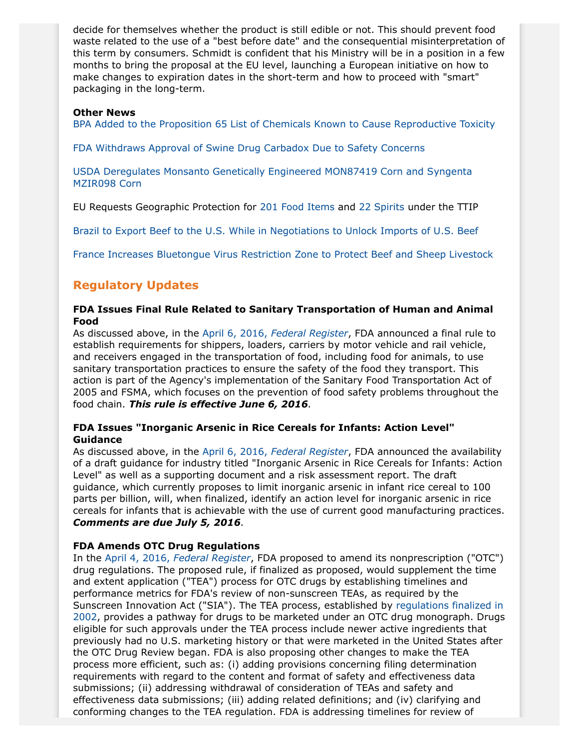decide for themselves whether the product is still edible or not. This should prevent food waste related to the use of a "best before date" and the consequential misinterpretation of this term by consumers. Schmidt is confident that his Ministry will be in a position in a few months to bring the proposal at the EU level, launching a European initiative on how to make changes to expiration dates in the short-term and how to proceed with "smart" packaging in the long-term.

#### **Other News**

[BPA Added to the Proposition 65 List of Chemicals Known to Cause Reproductive Toxicity](http://www.oehha.ca.gov/prop65/CRNR_notices/040116BPAEmergencyAction.html)

[FDA Withdraws Approval of Swine Drug Carbadox Due to Safety Concerns](http://www.fda.gov/NewsEvents/Newsroom/PressAnnouncements/ucm494934.htm)

[USDA Deregulates Monsanto Genetically Engineered MON87419 Corn and Syngenta](http://www.reuters.com/article/us-usa-grains-regulation-idUSKCN0WQ013) [MZIR098 Corn](http://www.reuters.com/article/us-usa-grains-regulation-idUSKCN0WQ013)

EU Requests Geographic Protection for [201 Food Items](http://trade.ec.europa.eu/doclib/docs/2016/march/tradoc_154386.GIPaperAnnex1%20FINAL_REV.pdf) and [22 Spirits](http://trade.ec.europa.eu/doclib/docs/2016/march/tradoc_154387.pdf) under the TTIP

[Brazil to Export Beef to the U.S. While in Negotiations to Unlock Imports of U.S. Beef](http://www.globalmeatnews.com/Industry-Markets/Brazil-to-unlock-US-beef-market/?utm_source=newsletter_daily&utm_medium=email&utm_campaign=31-Mar-2016&c=9b0%2FNwNWp7F%2FmOcOFM0Qv26JVW2BRp4Z&p2=)

[France Increases Bluetongue Virus Restriction Zone to Protect Beef and Sheep Livestock](http://www.globalmeatnews.com/Livestock/France-extends-bluetongue-virus-restriction-zone/?utm_source=newsletter_daily&utm_medium=email&utm_campaign=01-Apr-2016&c=9b0%2FNwNWp7HkZ7%2BuqGDWAtWy0WYTmsfp&p2=)

# **Regulatory Updates**

#### **FDA Issues Final Rule Related to Sanitary Transportation of Human and Animal Food**

As discussed above, in the April 6, 2016, *[Federal Register](https://www.gpo.gov/fdsys/pkg/FR-2016-04-06/pdf/2016-07330.pdf)*, FDA announced a final rule to establish requirements for shippers, loaders, carriers by motor vehicle and rail vehicle, and receivers engaged in the transportation of food, including food for animals, to use sanitary transportation practices to ensure the safety of the food they transport. This action is part of the Agency's implementation of the Sanitary Food Transportation Act of 2005 and FSMA, which focuses on the prevention of food safety problems throughout the food chain. *This rule is effective June 6, 2016.*

#### **FDA Issues "Inorganic Arsenic in Rice Cereals for Infants: Action Level" Guidance**

As discussed above, in the April 6, 2016, *[Federal Register](https://www.gpo.gov/fdsys/pkg/FR-2016-04-06/pdf/2016-07840.pdf)*, FDA announced the availability of a draft guidance for industry titled "Inorganic Arsenic in Rice Cereals for Infants: Action Level" as well as a supporting document and a risk assessment report. The draft guidance, which currently proposes to limit inorganic arsenic in infant rice cereal to 100 parts per billion, will, when finalized, identify an action level for inorganic arsenic in rice cereals for infants that is achievable with the use of current good manufacturing practices. *Comments are due July 5, 2016.*

### **FDA Amends OTC Drug Regulations**

In the April 4, 2016, *[Federal Register](https://www.gpo.gov/fdsys/pkg/FR-2016-04-04/pdf/2016-07612.pdf)*, FDA proposed to amend its nonprescription ("OTC") drug regulations. The proposed rule, if finalized as proposed, would supplement the time and extent application ("TEA") process for OTC drugs by establishing timelines and performance metrics for FDA's review of non-sunscreen TEAs, as required by the Sunscreen Innovation Act ("SIA"). The TEA process, established by [regulations finalized in](https://www.gpo.gov/fdsys/pkg/FR-2002-01-23/pdf/02-1457.pdf) [2002,](https://www.gpo.gov/fdsys/pkg/FR-2002-01-23/pdf/02-1457.pdf) provides a pathway for drugs to be marketed under an OTC drug monograph. Drugs eligible for such approvals under the TEA process include newer active ingredients that previously had no U.S. marketing history or that were marketed in the United States after the OTC Drug Review began. FDA is also proposing other changes to make the TEA process more efficient, such as: (i) adding provisions concerning filing determination requirements with regard to the content and format of safety and effectiveness data submissions; (ii) addressing withdrawal of consideration of TEAs and safety and effectiveness data submissions; (iii) adding related definitions; and (iv) clarifying and conforming changes to the TEA regulation. FDA is addressing timelines for review of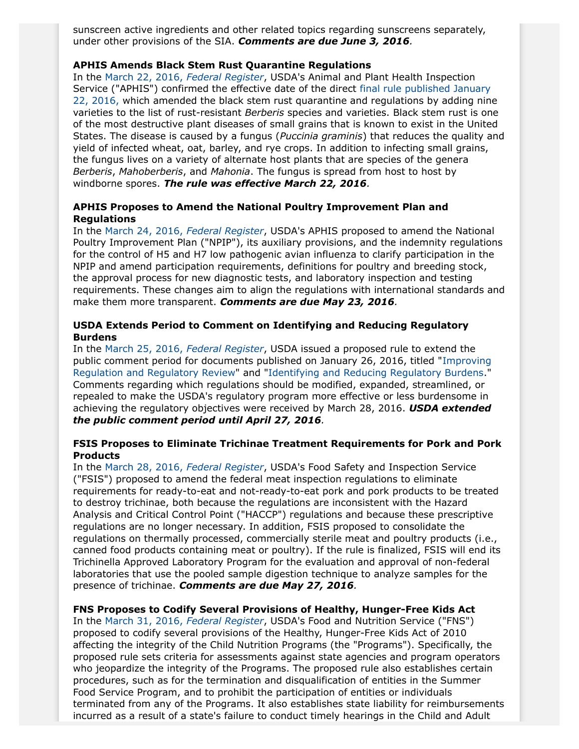sunscreen active ingredients and other related topics regarding sunscreens separately, under other provisions of the SIA. *Comments are due June 3, 2016.*

#### **APHIS Amends Black Stem Rust Quarantine Regulations**

In the [March 22, 2016,](https://www.gpo.gov/fdsys/pkg/FR-2016-03-22/pdf/2016-06476.pdf) *Federal Register*, USDA's Animal and Plant Health Inspection Service ("APHIS") confirmed the effective date of the direct [final rule published January](https://www.gpo.gov/fdsys/pkg/FR-2016-01-22/pdf/2016-01252.pdf) [22, 2016,](https://www.gpo.gov/fdsys/pkg/FR-2016-01-22/pdf/2016-01252.pdf) which amended the black stem rust quarantine and regulations by adding nine varieties to the list of rust-resistant *Berberis* species and varieties. Black stem rust is one of the most destructive plant diseases of small grains that is known to exist in the United States. The disease is caused by a fungus (*Puccinia graminis*) that reduces the quality and yield of infected wheat, oat, barley, and rye crops. In addition to infecting small grains, the fungus lives on a variety of alternate host plants that are species of the genera *Berberis*, *Mahoberberis*, and *Mahonia*. The fungus is spread from host to host by windborne spores. *The rule was effective March 22, 2016.*

#### **APHIS Proposes to Amend the National Poultry Improvement Plan and Regulations**

In the [March 24, 2016,](https://www.gpo.gov/fdsys/pkg/FR-2016-03-24/pdf/2016-06664.pdf) *Federal Register*, USDA's APHIS proposed to amend the National Poultry Improvement Plan ("NPIP"), its auxiliary provisions, and the indemnity regulations for the control of H5 and H7 low pathogenic avian influenza to clarify participation in the NPIP and amend participation requirements, definitions for poultry and breeding stock, the approval process for new diagnostic tests, and laboratory inspection and testing requirements. These changes aim to align the regulations with international standards and make them more transparent. *Comments are due May 23, 2016.*

#### **USDA Extends Period to Comment on Identifying and Reducing Regulatory Burdens**

In the [March 25, 2016,](https://www.gpo.gov/fdsys/pkg/FR-2016-03-25/pdf/2016-06852.pdf) *Federal Register*, USDA issued a proposed rule to extend the public comment period for documents published on January 26, 2016, titled "[Improving](https://www.gpo.gov/fdsys/pkg/FR-2011-01-21/pdf/2011-1385.pdf) [Regulation and Regulatory Review](https://www.gpo.gov/fdsys/pkg/FR-2011-01-21/pdf/2011-1385.pdf)" and "[Identifying and Reducing Regulatory Burdens.](https://www.gpo.gov/fdsys/pkg/FR-2012-05-14/pdf/2012-11798.pdf)" Comments regarding which regulations should be modified, expanded, streamlined, or repealed to make the USDA's regulatory program more effective or less burdensome in achieving the regulatory objectives were received by March 28, 2016. *USDA extended the public comment period until April 27, 2016.*

#### **FSIS Proposes to Eliminate Trichinae Treatment Requirements for Pork and Pork Products**

In the [March 28, 2016,](https://www.gpo.gov/fdsys/pkg/FR-2016-03-28/pdf/2016-06576.pdf) *Federal Register*, USDA's Food Safety and Inspection Service ("FSIS") proposed to amend the federal meat inspection regulations to eliminate requirements for ready-to-eat and not-ready-to-eat pork and pork products to be treated to destroy trichinae, both because the regulations are inconsistent with the Hazard Analysis and Critical Control Point ("HACCP") regulations and because these prescriptive regulations are no longer necessary. In addition, FSIS proposed to consolidate the regulations on thermally processed, commercially sterile meat and poultry products (i.e., canned food products containing meat or poultry). If the rule is finalized, FSIS will end its Trichinella Approved Laboratory Program for the evaluation and approval of non-federal laboratories that use the pooled sample digestion technique to analyze samples for the presence of trichinae. *Comments are due May 27, 2016.*

#### **FNS Proposes to Codify Several Provisions of Healthy, Hunger-Free Kids Act**

In the [March 31, 2016,](https://www.gpo.gov/fdsys/pkg/FR-2016-03-29/pdf/2016-06801.pdf) *Federal Register*, USDA's Food and Nutrition Service ("FNS") proposed to codify several provisions of the Healthy, Hunger-Free Kids Act of 2010 affecting the integrity of the Child Nutrition Programs (the "Programs"). Specifically, the proposed rule sets criteria for assessments against state agencies and program operators who jeopardize the integrity of the Programs. The proposed rule also establishes certain procedures, such as for the termination and disqualification of entities in the Summer Food Service Program, and to prohibit the participation of entities or individuals terminated from any of the Programs. It also establishes state liability for reimbursements incurred as a result of a state's failure to conduct timely hearings in the Child and Adult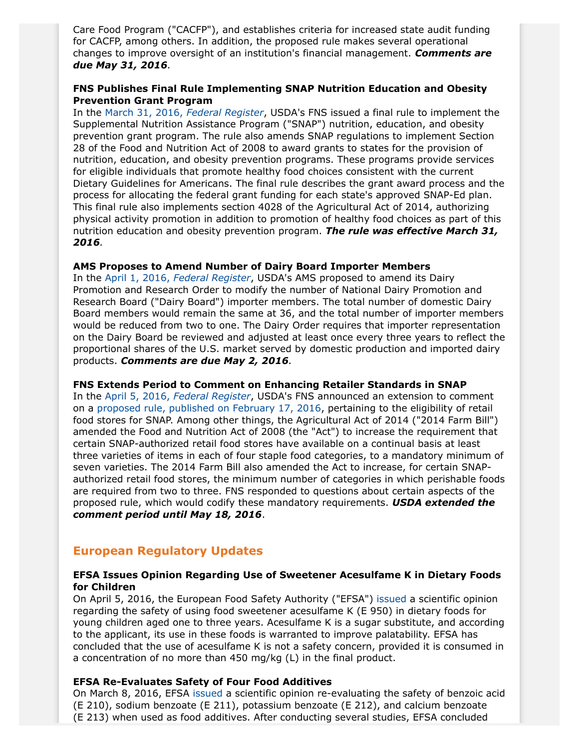Care Food Program ("CACFP"), and establishes criteria for increased state audit funding for CACFP, among others. In addition, the proposed rule makes several operational changes to improve oversight of an institution's financial management. *Comments are due May 31, 2016.*

### **FNS Publishes Final Rule Implementing SNAP Nutrition Education and Obesity Prevention Grant Program**

In the [March 31, 2016,](https://www.gpo.gov/fdsys/pkg/FR-2016-03-31/pdf/2016-07179.pdf) *Federal Register*, USDA's FNS issued a final rule to implement the Supplemental Nutrition Assistance Program ("SNAP") nutrition, education, and obesity prevention grant program. The rule also amends SNAP regulations to implement Section 28 of the Food and Nutrition Act of 2008 to award grants to states for the provision of nutrition, education, and obesity prevention programs. These programs provide services for eligible individuals that promote healthy food choices consistent with the current Dietary Guidelines for Americans. The final rule describes the grant award process and the process for allocating the federal grant funding for each state's approved SNAP-Ed plan. This final rule also implements section 4028 of the Agricultural Act of 2014, authorizing physical activity promotion in addition to promotion of healthy food choices as part of this nutrition education and obesity prevention program. *The rule was effective March 31, 2016.*

#### **AMS Proposes to Amend Number of Dairy Board Importer Members**

In the April 1, 2016, *[Federal Register](https://www.gpo.gov/fdsys/pkg/FR-2016-04-01/pdf/2016-07413.pdf)*, USDA's AMS proposed to amend its Dairy Promotion and Research Order to modify the number of National Dairy Promotion and Research Board ("Dairy Board") importer members. The total number of domestic Dairy Board members would remain the same at 36, and the total number of importer members would be reduced from two to one. The Dairy Order requires that importer representation on the Dairy Board be reviewed and adjusted at least once every three years to reflect the proportional shares of the U.S. market served by domestic production and imported dairy products. *Comments are due May 2, 2016.*

#### **FNS Extends Period to Comment on Enhancing Retailer Standards in SNAP**

In the April 5, 2016, *[Federal Register](https://www.gpo.gov/fdsys/pkg/FR-2016-04-05/pdf/2016-07793.pdf)*, USDA's FNS announced an extension to comment on a [proposed rule, published on February 17, 2016,](https://www.gpo.gov/fdsys/pkg/FR-2016-02-17/pdf/2016-03006.pdf) pertaining to the eligibility of retail food stores for SNAP. Among other things, the Agricultural Act of 2014 ("2014 Farm Bill") amended the Food and Nutrition Act of 2008 (the "Act") to increase the requirement that certain SNAP-authorized retail food stores have available on a continual basis at least three varieties of items in each of four staple food categories, to a mandatory minimum of seven varieties. The 2014 Farm Bill also amended the Act to increase, for certain SNAPauthorized retail food stores, the minimum number of categories in which perishable foods are required from two to three. FNS responded to questions about certain aspects of the proposed rule, which would codify these mandatory requirements. *USDA extended the comment period until May 18, 2016*.

## **European Regulatory Updates**

#### **EFSA Issues Opinion Regarding Use of Sweetener Acesulfame K in Dietary Foods for Children**

On April 5, 2016, the European Food Safety Authority ("EFSA") [issued](http://www.efsa.europa.eu/en/efsajournal/pub/4437) a scientific opinion regarding the safety of using food sweetener acesulfame K (E 950) in dietary foods for young children aged one to three years. Acesulfame K is a sugar substitute, and according to the applicant, its use in these foods is warranted to improve palatability. EFSA has concluded that the use of acesulfame K is not a safety concern, provided it is consumed in a concentration of no more than 450 mg/kg (L) in the final product.

### **EFSA Re-Evaluates Safety of Four Food Additives**

On March 8, 2016, EFSA [issued](http://www.efsa.europa.eu/en/efsajournal/pub/4433) a scientific opinion re-evaluating the safety of benzoic acid (E 210), sodium benzoate (E 211), potassium benzoate (E 212), and calcium benzoate (E 213) when used as food additives. After conducting several studies, EFSA concluded